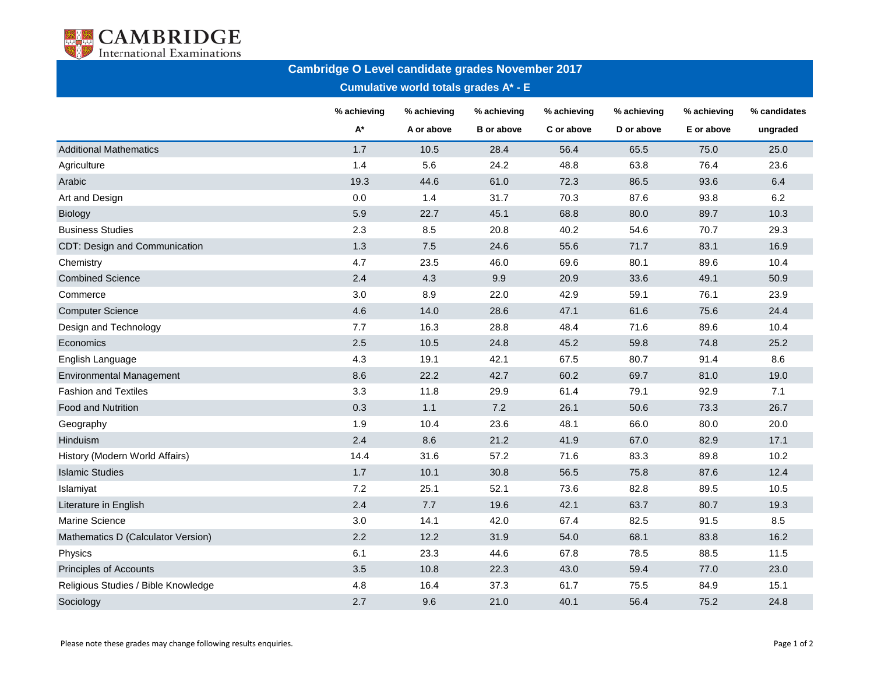

| <b>Cambridge O Level candidate grades November 2017</b><br><b>Cumulative world totals grades A* - E</b> |                      |                           |                                  |                           |                           |                           |                          |  |  |  |  |
|---------------------------------------------------------------------------------------------------------|----------------------|---------------------------|----------------------------------|---------------------------|---------------------------|---------------------------|--------------------------|--|--|--|--|
|                                                                                                         | % achieving<br>$A^*$ | % achieving<br>A or above | % achieving<br><b>B</b> or above | % achieving<br>C or above | % achieving<br>D or above | % achieving<br>E or above | % candidates<br>ungraded |  |  |  |  |
| <b>Additional Mathematics</b>                                                                           | 1.7                  | 10.5                      | 28.4                             | 56.4                      | 65.5                      | 75.0                      | 25.0                     |  |  |  |  |
| Agriculture                                                                                             | 1.4                  | 5.6                       | 24.2                             | 48.8                      | 63.8                      | 76.4                      | 23.6                     |  |  |  |  |
| Arabic                                                                                                  | 19.3                 | 44.6                      | 61.0                             | 72.3                      | 86.5                      | 93.6                      | 6.4                      |  |  |  |  |
| Art and Design                                                                                          | 0.0                  | 1.4                       | 31.7                             | 70.3                      | 87.6                      | 93.8                      | 6.2                      |  |  |  |  |
| <b>Biology</b>                                                                                          | 5.9                  | 22.7                      | 45.1                             | 68.8                      | 80.0                      | 89.7                      | 10.3                     |  |  |  |  |
| <b>Business Studies</b>                                                                                 | 2.3                  | 8.5                       | 20.8                             | 40.2                      | 54.6                      | 70.7                      | 29.3                     |  |  |  |  |
| CDT: Design and Communication                                                                           | 1.3                  | 7.5                       | 24.6                             | 55.6                      | 71.7                      | 83.1                      | 16.9                     |  |  |  |  |
| Chemistry                                                                                               | 4.7                  | 23.5                      | 46.0                             | 69.6                      | 80.1                      | 89.6                      | 10.4                     |  |  |  |  |
| <b>Combined Science</b>                                                                                 | 2.4                  | 4.3                       | 9.9                              | 20.9                      | 33.6                      | 49.1                      | 50.9                     |  |  |  |  |
| Commerce                                                                                                | 3.0                  | 8.9                       | 22.0                             | 42.9                      | 59.1                      | 76.1                      | 23.9                     |  |  |  |  |
| <b>Computer Science</b>                                                                                 | 4.6                  | 14.0                      | 28.6                             | 47.1                      | 61.6                      | 75.6                      | 24.4                     |  |  |  |  |
| Design and Technology                                                                                   | 7.7                  | 16.3                      | 28.8                             | 48.4                      | 71.6                      | 89.6                      | 10.4                     |  |  |  |  |
| Economics                                                                                               | 2.5                  | 10.5                      | 24.8                             | 45.2                      | 59.8                      | 74.8                      | 25.2                     |  |  |  |  |
| English Language                                                                                        | 4.3                  | 19.1                      | 42.1                             | 67.5                      | 80.7                      | 91.4                      | 8.6                      |  |  |  |  |
| <b>Environmental Management</b>                                                                         | 8.6                  | 22.2                      | 42.7                             | 60.2                      | 69.7                      | 81.0                      | 19.0                     |  |  |  |  |
| <b>Fashion and Textiles</b>                                                                             | 3.3                  | 11.8                      | 29.9                             | 61.4                      | 79.1                      | 92.9                      | 7.1                      |  |  |  |  |
| Food and Nutrition                                                                                      | 0.3                  | 1.1                       | 7.2                              | 26.1                      | 50.6                      | 73.3                      | 26.7                     |  |  |  |  |
| Geography                                                                                               | 1.9                  | 10.4                      | 23.6                             | 48.1                      | 66.0                      | 80.0                      | 20.0                     |  |  |  |  |
| Hinduism                                                                                                | 2.4                  | 8.6                       | 21.2                             | 41.9                      | 67.0                      | 82.9                      | 17.1                     |  |  |  |  |
| History (Modern World Affairs)                                                                          | 14.4                 | 31.6                      | 57.2                             | 71.6                      | 83.3                      | 89.8                      | 10.2                     |  |  |  |  |
| <b>Islamic Studies</b>                                                                                  | 1.7                  | 10.1                      | 30.8                             | 56.5                      | 75.8                      | 87.6                      | 12.4                     |  |  |  |  |
| Islamiyat                                                                                               | 7.2                  | 25.1                      | 52.1                             | 73.6                      | 82.8                      | 89.5                      | 10.5                     |  |  |  |  |
| Literature in English                                                                                   | 2.4                  | 7.7                       | 19.6                             | 42.1                      | 63.7                      | 80.7                      | 19.3                     |  |  |  |  |
| Marine Science                                                                                          | 3.0                  | 14.1                      | 42.0                             | 67.4                      | 82.5                      | 91.5                      | 8.5                      |  |  |  |  |
| Mathematics D (Calculator Version)                                                                      | 2.2                  | 12.2                      | 31.9                             | 54.0                      | 68.1                      | 83.8                      | 16.2                     |  |  |  |  |
| Physics                                                                                                 | 6.1                  | 23.3                      | 44.6                             | 67.8                      | 78.5                      | 88.5                      | 11.5                     |  |  |  |  |
| <b>Principles of Accounts</b>                                                                           | 3.5                  | 10.8                      | 22.3                             | 43.0                      | 59.4                      | 77.0                      | 23.0                     |  |  |  |  |
| Religious Studies / Bible Knowledge                                                                     | 4.8                  | 16.4                      | 37.3                             | 61.7                      | 75.5                      | 84.9                      | 15.1                     |  |  |  |  |
| Sociology                                                                                               | 2.7                  | 9.6                       | 21.0                             | 40.1                      | 56.4                      | 75.2                      | 24.8                     |  |  |  |  |